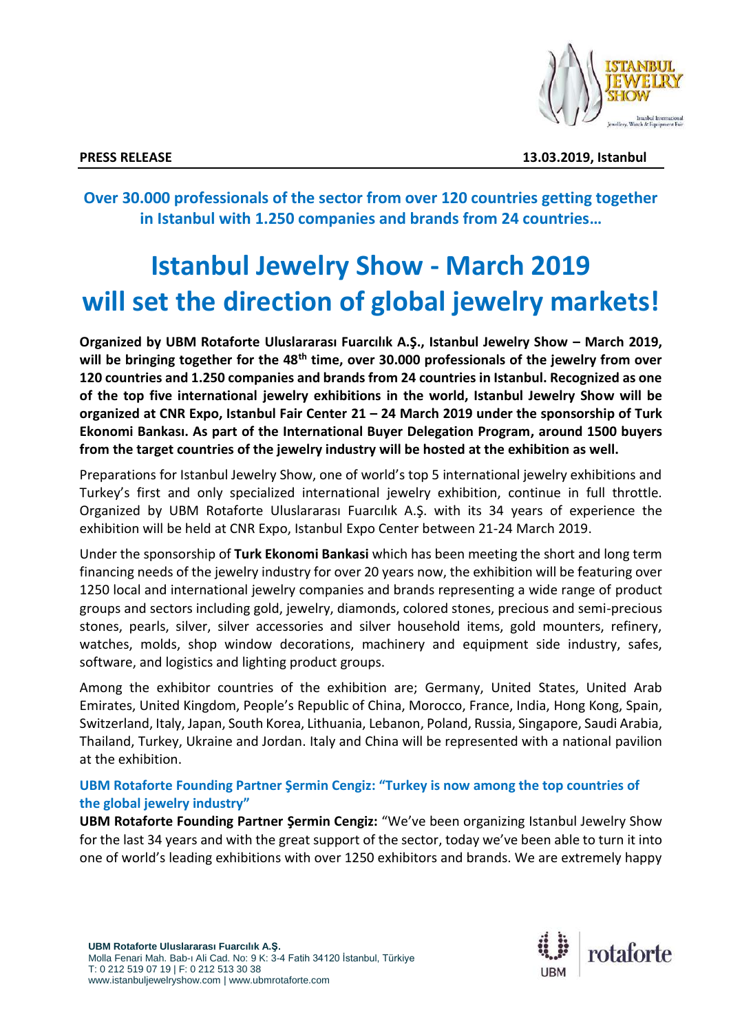

**PRESS RELEASE 13.03.2019, Istanbul**

**Over 30.000 professionals of the sector from over 120 countries getting together in Istanbul with 1.250 companies and brands from 24 countries…**

# **Istanbul Jewelry Show - March 2019 will set the direction of global jewelry markets!**

**Organized by UBM Rotaforte Uluslararası Fuarcılık A.Ş., Istanbul Jewelry Show – March 2019, will be bringing together for the 48th time, over 30.000 professionals of the jewelry from over 120 countries and 1.250 companies and brands from 24 countries in Istanbul. Recognized as one of the top five international jewelry exhibitions in the world, Istanbul Jewelry Show will be organized at CNR Expo, Istanbul Fair Center 21 – 24 March 2019 under the sponsorship of Turk Ekonomi Bankası. As part of the International Buyer Delegation Program, around 1500 buyers from the target countries of the jewelry industry will be hosted at the exhibition as well.** 

Preparations for Istanbul Jewelry Show, one of world's top 5 international jewelry exhibitions and Turkey's first and only specialized international jewelry exhibition, continue in full throttle. Organized by UBM Rotaforte Uluslararası Fuarcılık A.Ş. with its 34 years of experience the exhibition will be held at CNR Expo, Istanbul Expo Center between 21-24 March 2019.

Under the sponsorship of **Turk Ekonomi Bankasi** which has been meeting the short and long term financing needs of the jewelry industry for over 20 years now, the exhibition will be featuring over 1250 local and international jewelry companies and brands representing a wide range of product groups and sectors including gold, jewelry, diamonds, colored stones, precious and semi-precious stones, pearls, silver, silver accessories and silver household items, gold mounters, refinery, watches, molds, shop window decorations, machinery and equipment side industry, safes, software, and logistics and lighting product groups.

Among the exhibitor countries of the exhibition are; Germany, United States, United Arab Emirates, United Kingdom, People's Republic of China, Morocco, France, India, Hong Kong, Spain, Switzerland, Italy, Japan, South Korea, Lithuania, Lebanon, Poland, Russia, Singapore, Saudi Arabia, Thailand, Turkey, Ukraine and Jordan. Italy and China will be represented with a national pavilion at the exhibition.

# **UBM Rotaforte Founding Partner Şermin Cengiz: "Turkey is now among the top countries of the global jewelry industry"**

**UBM Rotaforte Founding Partner Şermin Cengiz:** "We've been organizing Istanbul Jewelry Show for the last 34 years and with the great support of the sector, today we've been able to turn it into one of world's leading exhibitions with over 1250 exhibitors and brands. We are extremely happy

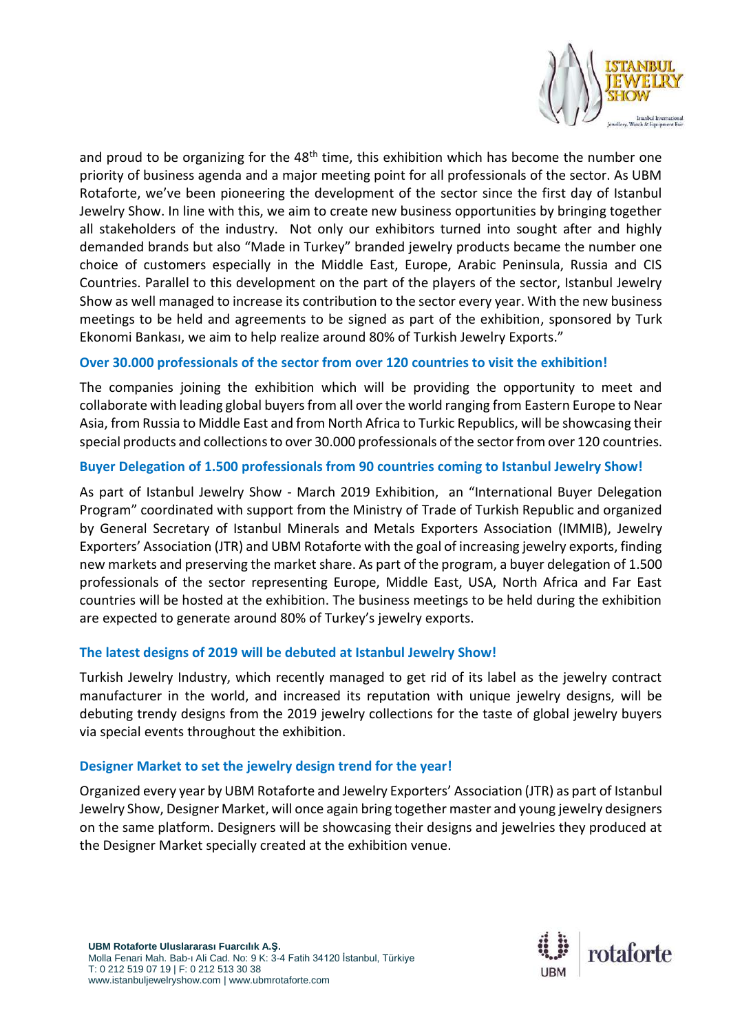

and proud to be organizing for the  $48<sup>th</sup>$  time, this exhibition which has become the number one priority of business agenda and a major meeting point for all professionals of the sector. As UBM Rotaforte, we've been pioneering the development of the sector since the first day of Istanbul Jewelry Show. In line with this, we aim to create new business opportunities by bringing together all stakeholders of the industry. Not only our exhibitors turned into sought after and highly demanded brands but also "Made in Turkey" branded jewelry products became the number one choice of customers especially in the Middle East, Europe, Arabic Peninsula, Russia and CIS Countries. Parallel to this development on the part of the players of the sector, Istanbul Jewelry Show as well managed to increase its contribution to the sector every year. With the new business meetings to be held and agreements to be signed as part of the exhibition, sponsored by Turk Ekonomi Bankası, we aim to help realize around 80% of Turkish Jewelry Exports."

# **Over 30.000 professionals of the sector from over 120 countries to visit the exhibition!**

The companies joining the exhibition which will be providing the opportunity to meet and collaborate with leading global buyers from all over the world ranging from Eastern Europe to Near Asia, from Russia to Middle East and from North Africa to Turkic Republics, will be showcasing their special products and collections to over 30.000 professionals of the sector from over 120 countries.

# **Buyer Delegation of 1.500 professionals from 90 countries coming to Istanbul Jewelry Show!**

As part of Istanbul Jewelry Show - March 2019 Exhibition, an "International Buyer Delegation Program" coordinated with support from the Ministry of Trade of Turkish Republic and organized by General Secretary of Istanbul Minerals and Metals Exporters Association (IMMIB), Jewelry Exporters' Association (JTR) and UBM Rotaforte with the goal of increasing jewelry exports, finding new markets and preserving the market share. As part of the program, a buyer delegation of 1.500 professionals of the sector representing Europe, Middle East, USA, North Africa and Far East countries will be hosted at the exhibition. The business meetings to be held during the exhibition are expected to generate around 80% of Turkey's jewelry exports.

# **The latest designs of 2019 will be debuted at Istanbul Jewelry Show!**

Turkish Jewelry Industry, which recently managed to get rid of its label as the jewelry contract manufacturer in the world, and increased its reputation with unique jewelry designs, will be debuting trendy designs from the 2019 jewelry collections for the taste of global jewelry buyers via special events throughout the exhibition.

#### **Designer Market to set the jewelry design trend for the year!**

Organized every year by UBM Rotaforte and Jewelry Exporters' Association (JTR) as part of Istanbul Jewelry Show, Designer Market, will once again bring together master and young jewelry designers on the same platform. Designers will be showcasing their designs and jewelries they produced at the Designer Market specially created at the exhibition venue.